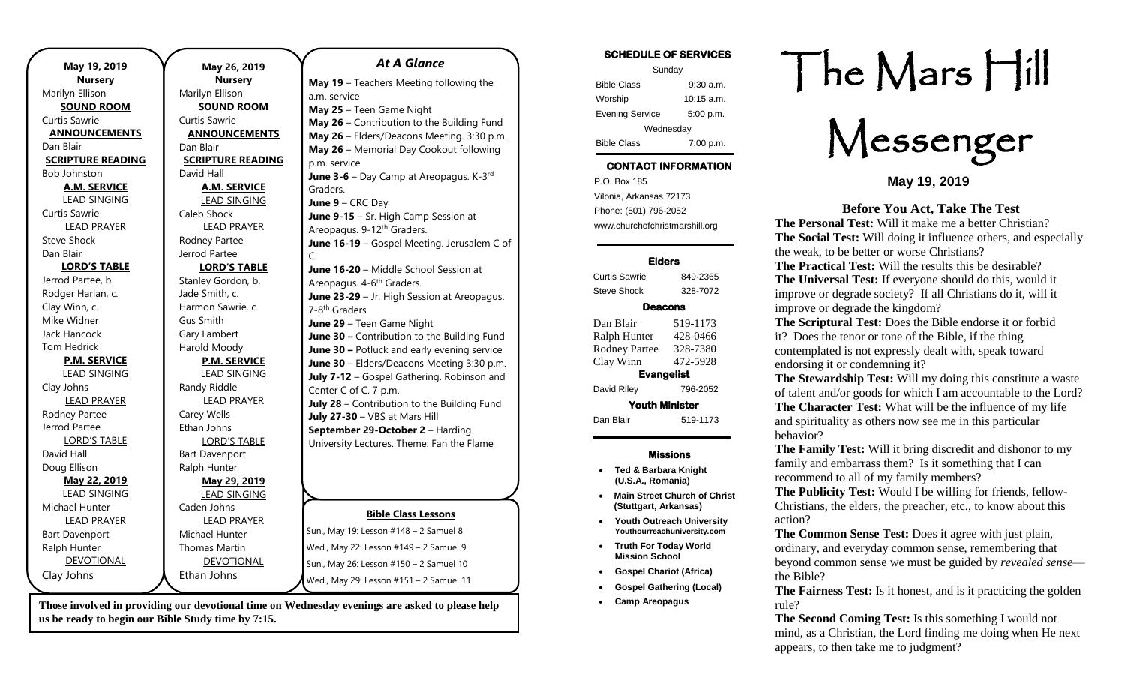| May 19, 2019             | N              |
|--------------------------|----------------|
| <b>Nursery</b>           |                |
| Marilyn Ellison          | Marilyr        |
| <b>SOUND ROOM</b>        | SC             |
| Curtis Sawrie            | Curtis 9       |
| <b>ANNOUNCEMENTS</b>     | <b>ANN</b>     |
| Dan Blair                | Dan Bla        |
| <b>SCRIPTURE READING</b> | <b>SCRIP</b>   |
| Bob Johnston             | David I        |
| <b>A.M. SERVICE</b>      | Α              |
| <b>LEAD SINGING</b>      | LE             |
| Curtis Sawrie            | Caleb 9        |
| <b>LEAD PRAYER</b>       | Ц              |
| <b>Steve Shock</b>       | Rodney         |
| Dan Blair                | Jerrod         |
| <b>LORD'S TABLE</b>      | <u>LC</u>      |
| Jerrod Partee, b.        | <b>Stanley</b> |
| Rodger Harlan, c.        | Jade Sr        |
| Clay Winn, c.            | Harmo          |
| Mike Widner              | Gus Sn         |
| Jack Hancock             | Gary La        |
| <b>Tom Hedrick</b>       | Harold         |
| <b>P.M. SERVICE</b>      | $\overline{P}$ |
| <b>LEAD SINGING</b>      | LE             |
| Clay Johns               | Randy          |
| <b>LEAD PRAYER</b>       | L              |
| Rodney Partee            | Carey \        |
| Jerrod Partee            | Ethan J        |
| <b>LORD'S TABLE</b>      | L(             |
| David Hall               | Bart Da        |
| Doug Ellison             | Ralph I        |
| May 22, 2019             | <u>N</u>       |
| <b>LEAD SINGING</b>      | LE             |
| Michael Hunter           | Caden          |
| <b>LEAD PRAYER</b>       | Ц              |
| <b>Bart Davenport</b>    | Michae         |
| Ralph Hunter             | Thoma          |
| <b>DEVOTIONAL</b>        | <u>D</u>       |
| Clay Johns               | Ethan          |
|                          |                |

#### **May 26, 2019 Nursery** n Ellison **SOUND ROOM** Sawrie **AOUNCEMENTS** air **PTURE READING** Hall **A.M. SERVICE EAD SINGING**  $Short$ **EAD PRAYER** v Partee Partee **LORD'S TABLE** Gordon, b. mith, c. <sub>n</sub>n Sawrie, c. nith ambert Moody **P.M. SERVICE** LEAD SINGING Riddle **EAD PRAYER** Wells Johns ORD'S TABLE avenport Hunter **May 29, 2019 LAD SINGING** Johns **EAD PRAYER** el Hunter ıs Martin **DEVOTIONAL** Johns **Bible Class Lessons** Sun., May 19: Lesson #148 – 2 Samuel 8 Wed., May 22: Lesson #149 – 2 Samuel 9 Sun., May 26: Lesson #150 – 2 Samuel 10 Wed., May 29: Lesson #151 – 2 Samuel 11 *At A Glance*  **May 19** – Teachers Meeting following the a.m. service **May 25** – Teen Game Night **May 26** – Contribution to the Building Fund **May 26** – Elders/Deacons Meeting. 3:30 p.m. **May 26** – Memorial Day Cookout following p.m. service **June 3-6** – Day Camp at Areopagus. K-3<sup>rd</sup> Graders. **June 9** – CRC Day **June 9-15** – Sr. High Camp Session at Areopagus. 9-12<sup>th</sup> Graders. **June 16-19** – Gospel Meeting. Jerusalem C of C. **June 16-20** – Middle School Session at Areopagus. 4-6<sup>th</sup> Graders. **June 23-29** – Jr. High Session at Areopagus. 7-8<sup>th</sup> Graders **June 29** – Teen Game Night **June 30 –** Contribution to the Building Fund **June 30 –** Potluck and early evening service **June 30** – Elders/Deacons Meeting 3:30 p.m. **July 7-12** – Gospel Gathering. Robinson and Center C of C. 7 p.m. **July 28** – Contribution to the Building Fund **July 27-30** – VBS at Mars Hill **September 29-October 2** – Harding University Lectures. Theme: Fan the Flame

**Those involved in providing our devotional time on Wednesday evenings are asked to please help us be ready to begin our Bible Study time by 7:15.** 

### **SCHEDULE OF SERVICES**

| Sunday                 |              |  |
|------------------------|--------------|--|
| <b>Bible Class</b>     | $9:30$ a.m.  |  |
| Worship                | $10:15$ a.m. |  |
| <b>Evening Service</b> | 5:00 p.m.    |  |
| Wednesday              |              |  |
| <b>Bible Class</b>     | 7:00 p.m.    |  |

## **CONTACT INFORMATION**

. .o. Box 166<br>Vilonia, Arkansas 72173 P.O. Box 185 Phone: (501) 796-2052 www.churchofchristmarshill.org

### **Elders**

Curtis Sawrie 849-2365 Steve Shock 328-7072

### **Deacons**

| Dan Blair             | 519-1173 |  |
|-----------------------|----------|--|
| Ralph Hunter          | 428-0466 |  |
| <b>Rodney Partee</b>  | 328-7380 |  |
| Clay Winn             | 472-5928 |  |
| <b>Evangelist</b>     |          |  |
| David Riley           | 796-2052 |  |
| <b>Youth Minister</b> |          |  |
| Dan Blair             | 519-1173 |  |

### **Missions**

- **Ted & Barbara Knight (U.S.A., Romania)**
- **Main Street Church of Christ (Stuttgart, Arkansas)**
- **Youth Outreach University Youthourreachuniversity.com**
- **Truth For Today World Mission School**
- **Gospel Chariot (Africa)**
- **Gospel Gathering (Local)**
- **Camp Areopagus**

# The Mars Hill

Messenger

**May 19, 2019**

### **Before You Act, Take The Test**

**The Personal Test:** Will it make me a better Christian? **The Social Test:** Will doing it influence others, and especially the weak, to be better or worse Christians?

**The Practical Test:** Will the results this be desirable? **The Universal Test:** If everyone should do this, would it improve or degrade society? If all Christians do it, will it improve or degrade the kingdom?

**The Scriptural Test:** Does the Bible endorse it or forbid it? Does the tenor or tone of the Bible, if the thing contemplated is not expressly dealt with, speak toward endorsing it or condemning it?

**The Stewardship Test:** Will my doing this constitute a waste of talent and/or goods for which I am accountable to the Lord? **The Character Test:** What will be the influence of my life and spirituality as others now see me in this particular behavior?

**The Family Test:** Will it bring discredit and dishonor to my family and embarrass them? Is it something that I can recommend to all of my family members?

**The Publicity Test:** Would I be willing for friends, fellow-Christians, the elders, the preacher, etc., to know about this action?

**The Common Sense Test:** Does it agree with just plain, ordinary, and everyday common sense, remembering that beyond common sense we must be guided by *revealed sense* the Bible?

**The Fairness Test:** Is it honest, and is it practicing the golden rule?

**The Second Coming Test:** Is this something I would not mind, as a Christian, the Lord finding me doing when He next appears, to then take me to judgment?